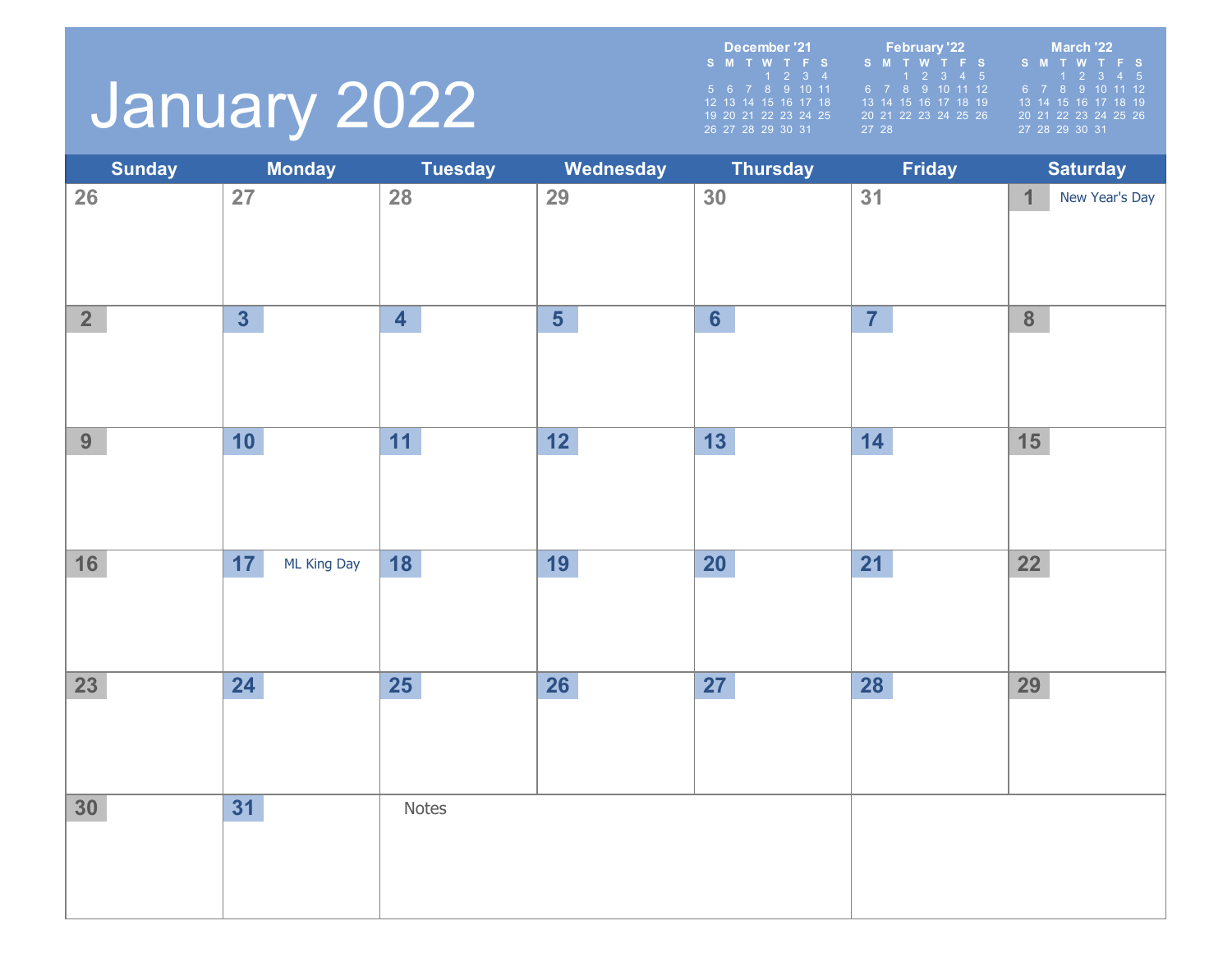## January 2022

**S M T W T F S** 12 13 14 15 16 17 18 19 20 21 22 23 24 25 26 27 28 29 30 31 **December '21**

**S M T W T F S** 13 14 15 16 17 18 19 **February '22**

**S M T W T F S** 13 14 15 16 17 18 19 27 28 29 30 31 **March '22**

| <b>Sunday</b>   | <b>Monday</b>                  | <b>Tuesday</b>  | Wednesday       | <b>Thursday</b> | <b>Friday</b>  | <b>Saturday</b>               |
|-----------------|--------------------------------|-----------------|-----------------|-----------------|----------------|-------------------------------|
| 26              | 27                             | 28              | 29              | 30              | 31             | New Year's Day<br>$\mathbf 1$ |
| 2 <sub>2</sub>  | 3 <sup>7</sup>                 | $\overline{4}$  | 5 <sub>1</sub>  | 6 <sup>1</sup>  | $\overline{7}$ | 8                             |
|                 |                                |                 |                 |                 |                |                               |
| 9               | 10                             | 11              | 12 <sup>7</sup> | 13              | 14             | 15                            |
|                 |                                |                 |                 |                 |                |                               |
| 16              | 17 <sub>2</sub><br>ML King Day | 18              | 19              | 20              | 21             | 22                            |
|                 |                                |                 |                 |                 |                |                               |
| 23              | 24                             | $\overline{25}$ | 26              | $\overline{27}$ | 28             | 29                            |
|                 |                                |                 |                 |                 |                |                               |
| 30 <sup>7</sup> | 31                             | Notes           |                 |                 |                |                               |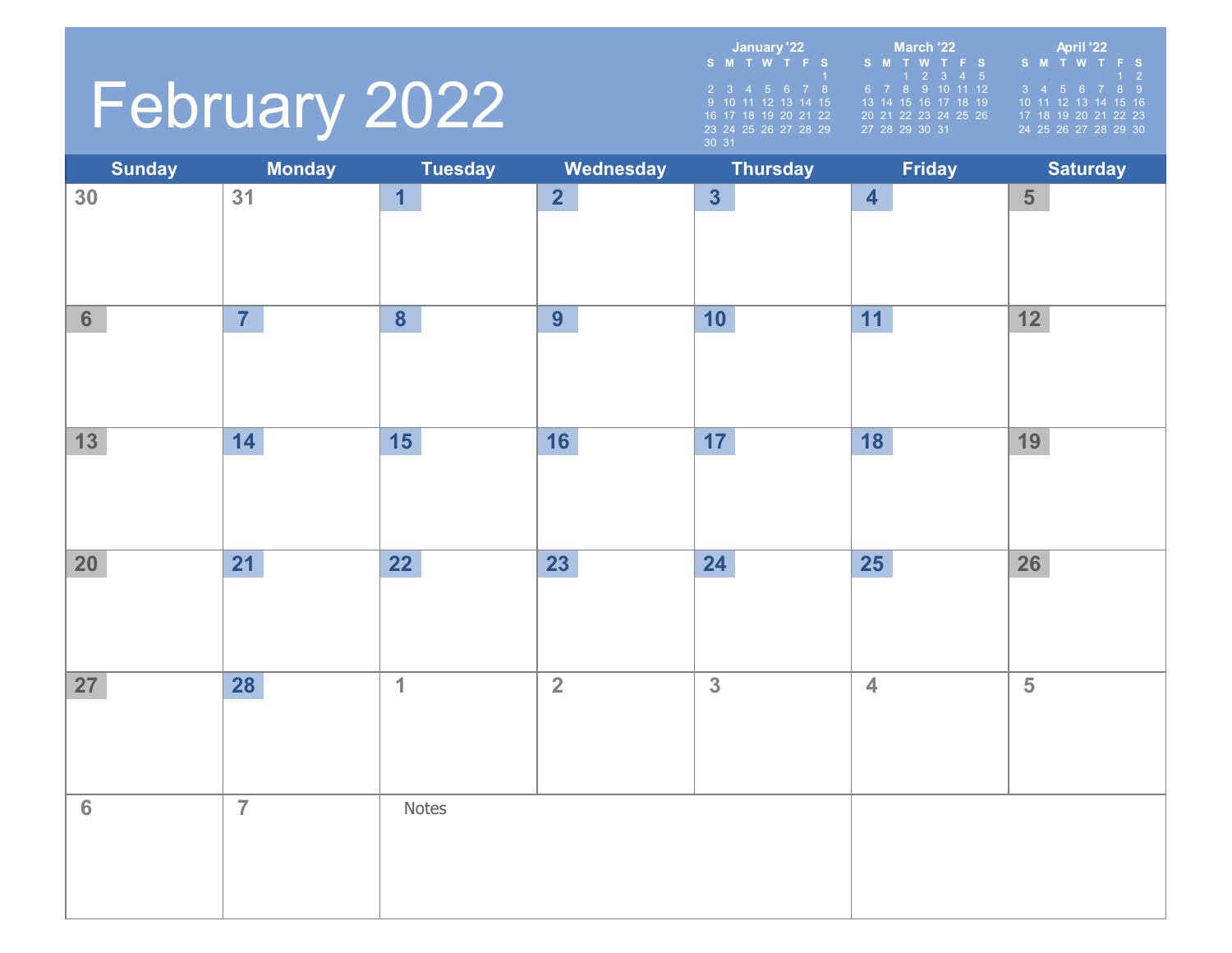# February 2022

**S M T W T F S** 10 11 12 13 14 15 24 25 26 27 28 29 **January '22**

**S M T W T F S** 14 15 16 17 18 19 21 22 23 24 25 26 28 29 30 31 **March '22**

**S M T W T F S** 11 12 13 14 15 16 25 26 27 28 29 30 **April '22**

| <b>Sunday</b>    | <b>Monday</b>   | <b>Tuesday</b>   | Wednesday               | <b>Thursday</b>         | <b>Friday</b>           | <b>Saturday</b> |
|------------------|-----------------|------------------|-------------------------|-------------------------|-------------------------|-----------------|
| 30               | 31              | $\mathbf{1}$     | $\overline{\mathbf{2}}$ | $\overline{\mathbf{3}}$ | 4 <sup>1</sup>          | 5 <sup>1</sup>  |
| 6 <sup>1</sup>   | $\overline{7}$  | $\boldsymbol{8}$ | 9 <sup>°</sup>          | 10                      | 11                      | 12              |
| 13               | 14              | 15               | 16                      | 17                      | 18                      | 19              |
| 20 <sub>l</sub>  | $\overline{21}$ | $\overline{22}$  | $\overline{23}$         | 24                      | 25                      | 26              |
| 27 <sup>°</sup>  | 28              | $\mathbf 1$      | $\overline{2}$          | $\overline{3}$          | $\overline{\mathbf{4}}$ | $\overline{5}$  |
| $\boldsymbol{6}$ | $\overline{7}$  | Notes            |                         |                         |                         |                 |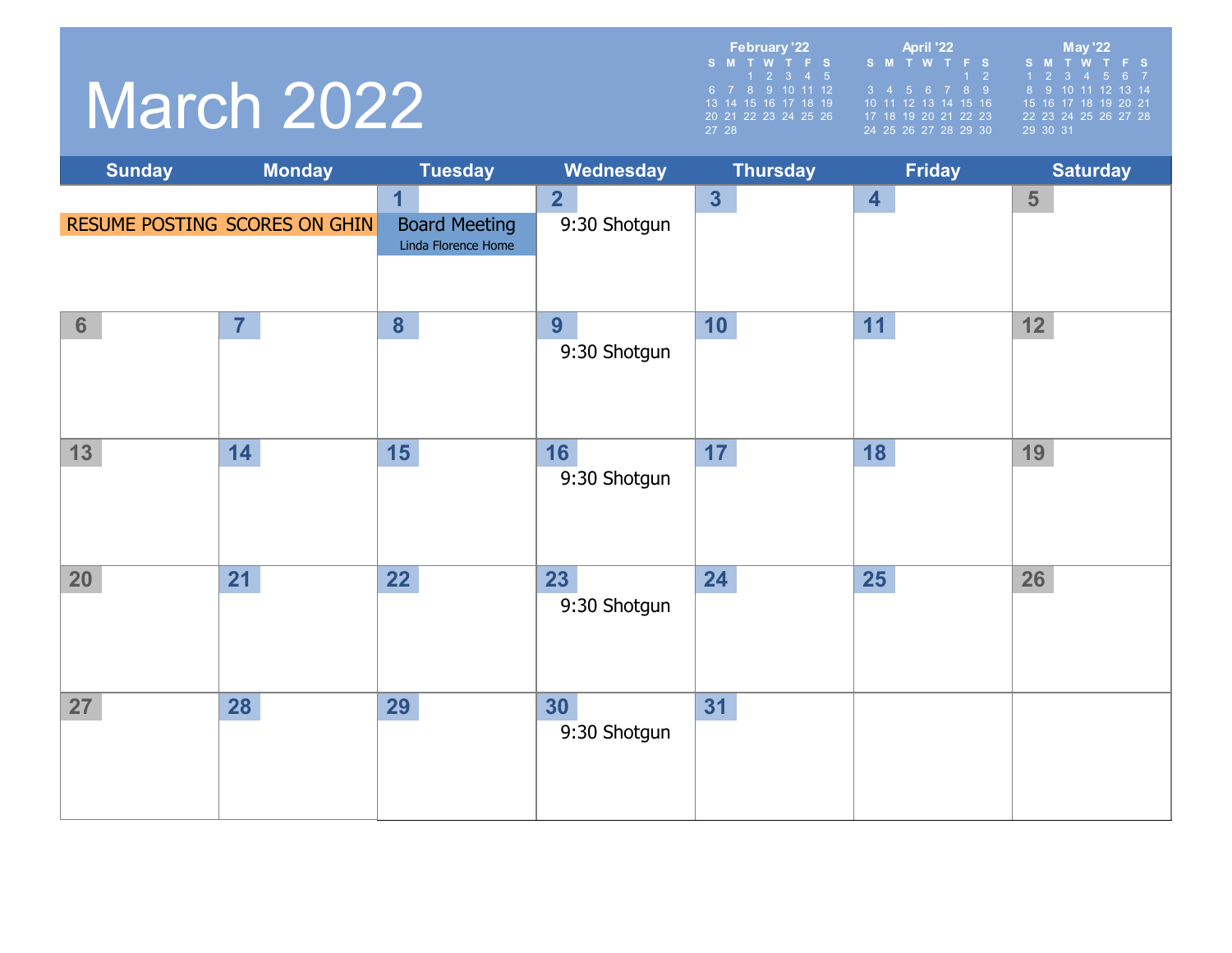## March 2022

**S M T W T F S** 20 21 22 23 24 25 26 27 28 **February '22**

**S M T W T F S** 17 18 19 20 21 22 23 24 25 26 27 28 29 30 **April '22**

**S M T W T F S** 8 9 10 11 12 13 14 22 23 24 25 26 27 28 29 30 31 **May '22**

| <b>Sunday</b>  | <b>Monday</b>                        | <b>Tuesday</b>   | Wednesday                      | <b>Thursday</b> | <b>Friday</b>           | <b>Saturday</b> |  |  |  |
|----------------|--------------------------------------|------------------|--------------------------------|-----------------|-------------------------|-----------------|--|--|--|
|                | <b>RESUME POSTING SCORES ON GHIN</b> |                  | $\overline{2}$<br>9:30 Shotgun | 3 <sup>5</sup>  | $\overline{\mathbf{4}}$ | $5\phantom{1}$  |  |  |  |
| $6\phantom{1}$ | $\overline{7}$                       | $\boldsymbol{8}$ | 9<br>9:30 Shotgun              | 10              | 11                      | $12$            |  |  |  |
| 13             | 14                                   | 15               | 16<br>9:30 Shotgun             | 17              | 18                      | 19              |  |  |  |
| 20             | 21                                   | 22               | 23<br>9:30 Shotgun             | 24              | 25                      | 26              |  |  |  |
| 27             | 28                                   | 29               | 30<br>9:30 Shotgun             | 31              |                         |                 |  |  |  |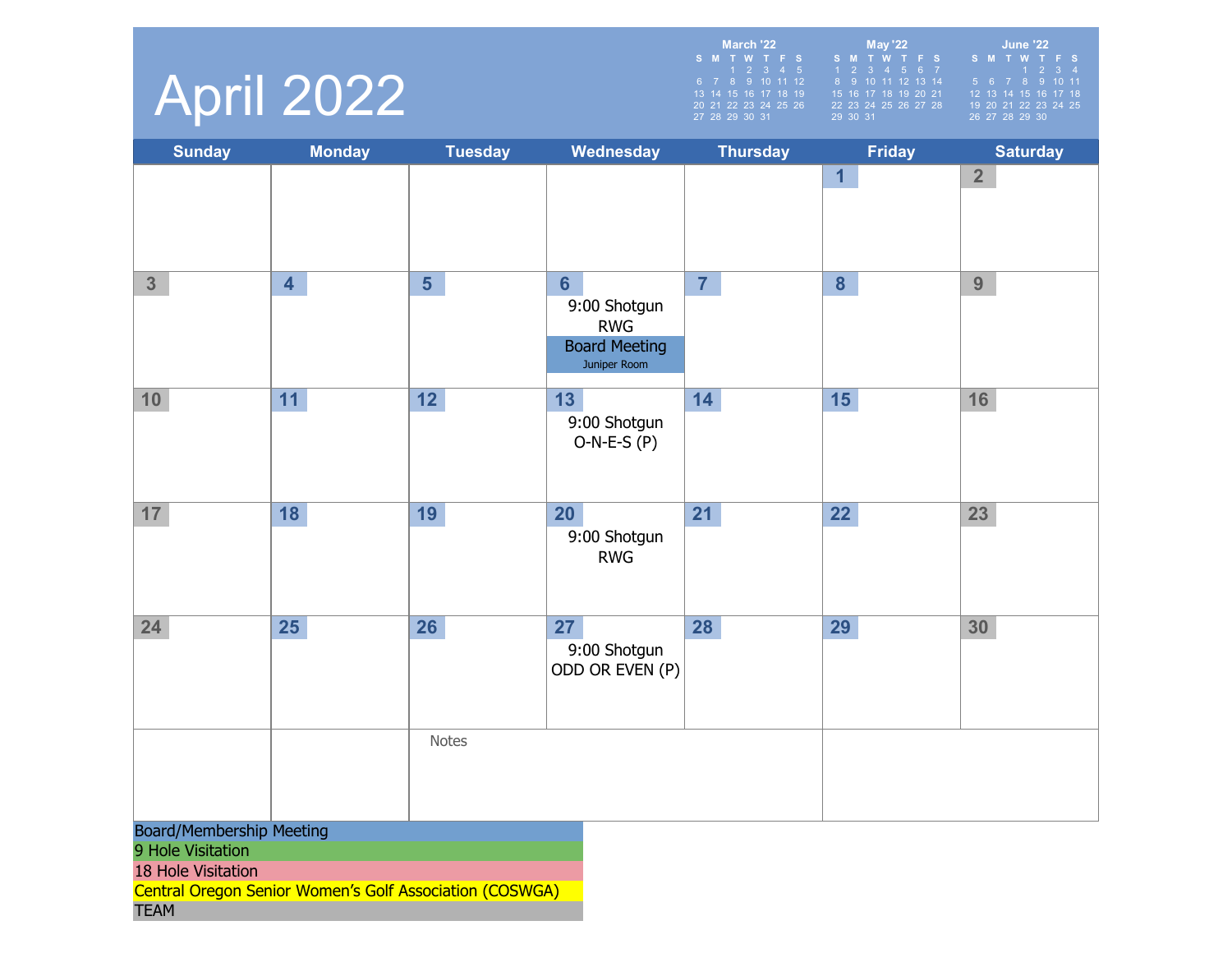## April 2022

|  | March '22      |                      |                                 |                      |  |               |  |  |  |         |
|--|----------------|----------------------|---------------------------------|----------------------|--|---------------|--|--|--|---------|
|  |                | <b>SMTWTFS</b>       |                                 |                      |  | S M T W T F S |  |  |  | $S$ M   |
|  |                |                      | $1\quad 2\quad 3\quad 4\quad 5$ | 1 2 3 4 5 6 7        |  |               |  |  |  |         |
|  |                | 6 7 8 9 10 11 12     |                                 | 8 9 10 11 12 13 14   |  |               |  |  |  | 56      |
|  |                | 13 14 15 16 17 18 19 |                                 | 15 16 17 18 19 20 21 |  |               |  |  |  | $12$ 13 |
|  |                |                      | 20 21 22 23 24 25 26            | 22 23 24 25 26 27 28 |  |               |  |  |  | 19 20   |
|  | 27 28 29 30 31 |                      |                                 | 29 30 31             |  |               |  |  |  | 26 27   |
|  |                |                      |                                 |                      |  |               |  |  |  |         |

**S M T W T F S June '22**1 2 3 4 5 6 7 8 9 10 11 12 13 14 15 16 17 18 19 20 21 22 23 24 25 26 27 28 29 30

| <b>Sunday</b>                                        | <b>Monday</b><br><b>Tuesday</b>                                |                 | Wednesday                  | <b>Thursday</b> | <b>Friday</b>           | <b>Saturday</b> |  |  |  |
|------------------------------------------------------|----------------------------------------------------------------|-----------------|----------------------------|-----------------|-------------------------|-----------------|--|--|--|
|                                                      |                                                                |                 |                            |                 | $\mathbf{1}$            | 2 <sup>2</sup>  |  |  |  |
|                                                      |                                                                |                 |                            |                 |                         |                 |  |  |  |
|                                                      |                                                                |                 |                            |                 |                         |                 |  |  |  |
| 3 <sup>1</sup>                                       | $\overline{\mathbf{4}}$                                        | $5\overline{)}$ | $6\overline{6}$            | $\overline{7}$  | $\overline{\mathbf{8}}$ | 9               |  |  |  |
|                                                      |                                                                |                 | 9:00 Shotgun<br>RWG        |                 |                         |                 |  |  |  |
|                                                      |                                                                |                 | <b>Board Meeting</b>       |                 |                         |                 |  |  |  |
|                                                      |                                                                |                 | Juniper Room               |                 |                         |                 |  |  |  |
| 10                                                   | 11                                                             | 12 <sub>2</sub> | 13<br>9:00 Shotgun         | 14              | 15                      | 16              |  |  |  |
|                                                      |                                                                |                 | $O-N-E-S(P)$               |                 |                         |                 |  |  |  |
|                                                      |                                                                |                 |                            |                 |                         |                 |  |  |  |
| 17                                                   | 18                                                             | 19              | 20                         | 21              | 22                      | 23              |  |  |  |
|                                                      |                                                                |                 | 9:00 Shotgun<br><b>RWG</b> |                 |                         |                 |  |  |  |
|                                                      |                                                                |                 |                            |                 |                         |                 |  |  |  |
|                                                      |                                                                |                 |                            |                 |                         |                 |  |  |  |
| 24                                                   | 25                                                             | 26              | 27<br>9:00 Shotgun         | 28              | 29                      | 30              |  |  |  |
|                                                      |                                                                |                 | ODD OR EVEN (P)            |                 |                         |                 |  |  |  |
|                                                      |                                                                |                 |                            |                 |                         |                 |  |  |  |
|                                                      |                                                                | Notes           |                            |                 |                         |                 |  |  |  |
|                                                      |                                                                |                 |                            |                 |                         |                 |  |  |  |
|                                                      |                                                                |                 |                            |                 |                         |                 |  |  |  |
| <b>Board/Membership Meeting</b><br>9 Hole Visitation |                                                                |                 |                            |                 |                         |                 |  |  |  |
| 18 Hole Visitation                                   |                                                                |                 |                            |                 |                         |                 |  |  |  |
|                                                      | <b>Central Oregon Senior Women's Golf Association (COSWGA)</b> |                 |                            |                 |                         |                 |  |  |  |
| <b>TEAM</b>                                          |                                                                |                 |                            |                 |                         |                 |  |  |  |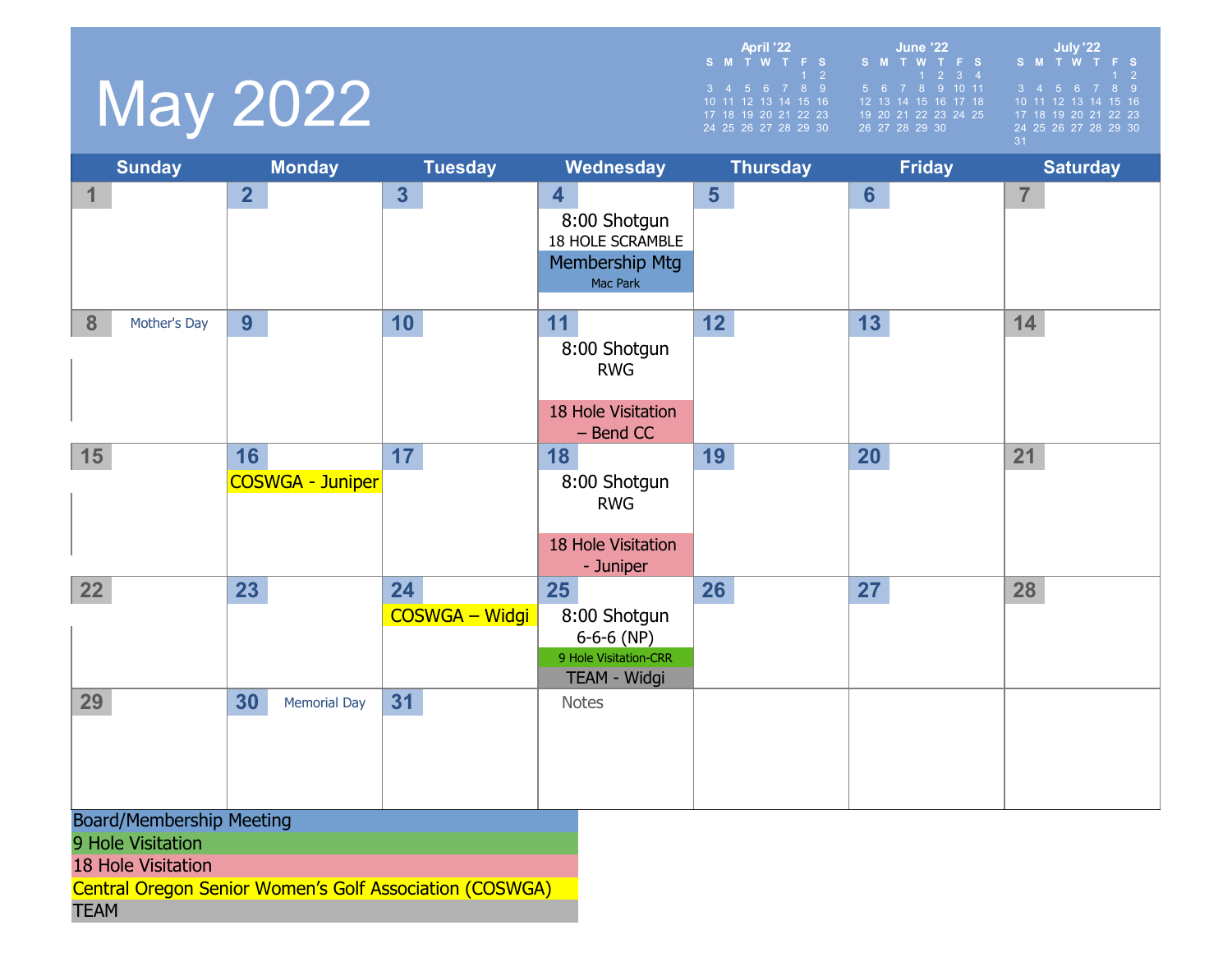# May 2022

24 25 26 27 28 29 30 **April '22**

**S M T W T F S** 26 27 28 29 30 **June '22**

24 25 26 27 28 29 30 **July '22**

| <b>Sunday</b>                                                                                    | <b>Tuesday</b><br><b>Monday</b>                                |                             | <b>Wednesday</b>                                                            | <b>Thursday</b> | <b>Friday</b>   | <b>Saturday</b> |  |  |
|--------------------------------------------------------------------------------------------------|----------------------------------------------------------------|-----------------------------|-----------------------------------------------------------------------------|-----------------|-----------------|-----------------|--|--|
| $\mathbf{1}$                                                                                     | $\mathbf{3}$<br>$\overline{2}$                                 |                             | 4<br>8:00 Shotgun<br>18 HOLE SCRAMBLE<br>Membership Mtg<br>Mac Park         | $5\phantom{1}$  | $6\phantom{1}6$ | 7               |  |  |
| 8<br>Mother's Day                                                                                | 9                                                              | 10                          | 11<br>8:00 Shotgun<br><b>RWG</b><br>18 Hole Visitation<br>- Bend CC         | 12              | 13              | 14              |  |  |
| 15                                                                                               | 16<br>COSWGA - Juniper                                         | 17                          | 18<br>8:00 Shotgun<br><b>RWG</b><br>18 Hole Visitation<br>- Juniper         | 19              | 20              | 21              |  |  |
| 22                                                                                               | 23                                                             | 24<br><b>COSWGA - Widgi</b> | 25<br>8:00 Shotgun<br>$6-6-6$ (NP)<br>9 Hole Visitation-CRR<br>TEAM - Widgi | 26              | 27              | 28              |  |  |
| 29                                                                                               | 30<br><b>Memorial Day</b>                                      | 31                          | <b>Notes</b>                                                                |                 |                 |                 |  |  |
| <b>Board/Membership Meeting</b><br>9 Hole Visitation<br><b>18 Hole Visitation</b><br><b>TEAM</b> | <b>Central Oregon Senior Women's Golf Association (COSWGA)</b> |                             |                                                                             |                 |                 |                 |  |  |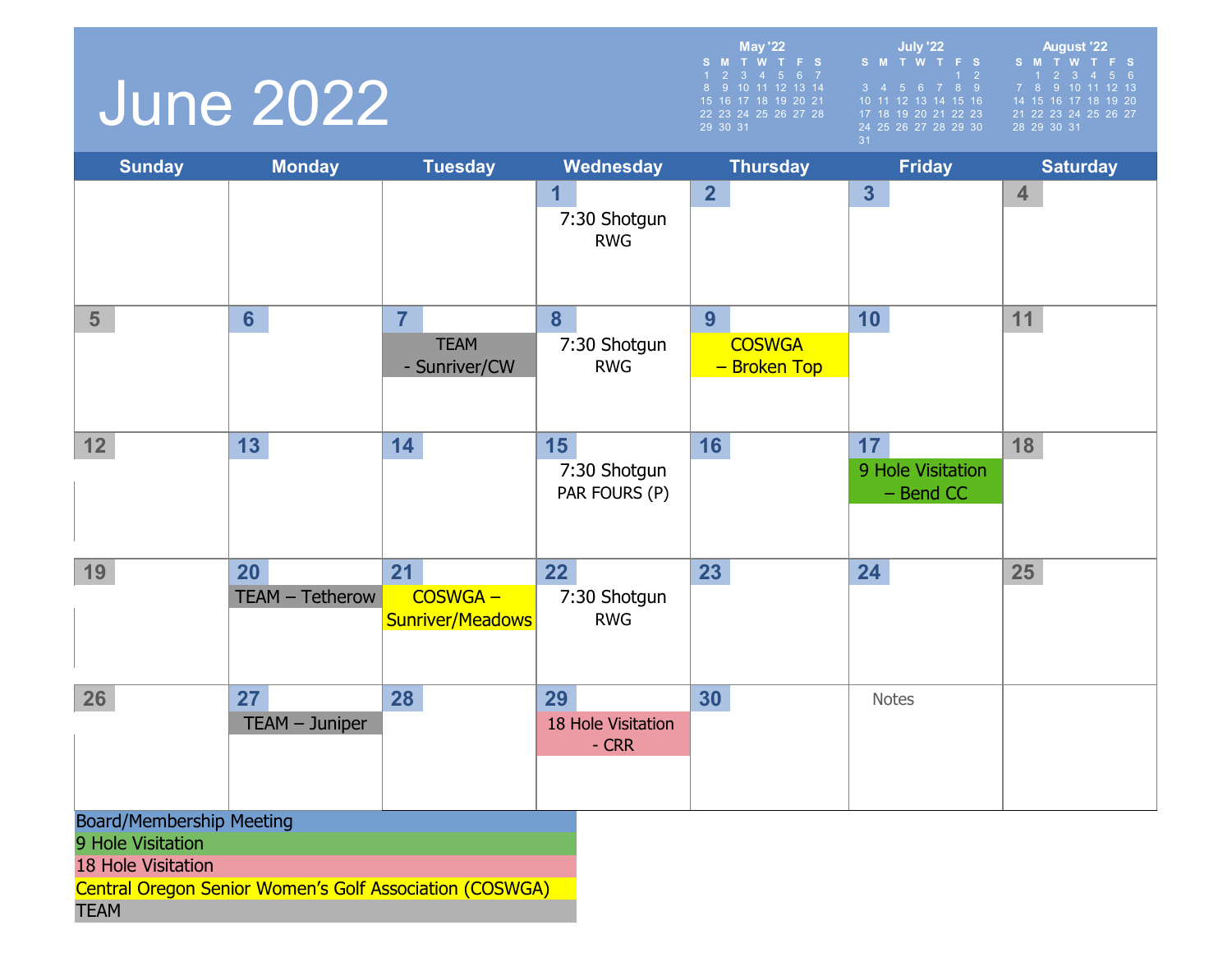#### June 2022

8 9 10 11 12 13 14 15 16 17 18 19 20 21 22 23 24 25 26 27 28 29 30 31 **May '22**

**S M T W T F S** 10 11 12 13 14 15 16 17 18 19 20 21 22 23 24 25 26 27 28 29 30 31 **July '22**

**S M T W T F S** 14 15 16 17 18 19 20 21 22 23 24 25 26 27 28 29 30 31 **August '22**

| <b>Sunday</b>                   | <b>Monday</b>                                                  | <b>Tuesday</b>                                  | Wednesday                                             | <b>Thursday</b>                    | <b>Friday</b>                        | <b>Saturday</b> |
|---------------------------------|----------------------------------------------------------------|-------------------------------------------------|-------------------------------------------------------|------------------------------------|--------------------------------------|-----------------|
|                                 |                                                                |                                                 | $\overline{\mathbf{1}}$<br>7:30 Shotgun<br><b>RWG</b> | $\overline{2}$                     | $\overline{\mathbf{3}}$              | $\overline{4}$  |
| 5 <sup>5</sup>                  | $6\overline{6}$                                                | $\overline{7}$<br><b>TEAM</b><br>- Sunriver/CW  | 8<br>7:30 Shotgun<br><b>RWG</b>                       | 9<br><b>COSWGA</b><br>- Broken Top | 10                                   | 11              |
| 12                              | 13                                                             | 14                                              | 15<br>7:30 Shotgun<br>PAR FOURS (P)                   | 16                                 | 17<br>9 Hole Visitation<br>- Bend CC | 18              |
| 19                              | 20<br><b>TEAM - Tetherow</b>                                   | 21<br><b>COSWGA-</b><br><b>Sunriver/Meadows</b> | 22<br>7:30 Shotgun<br><b>RWG</b>                      | 23                                 | 24                                   | 25              |
| 26                              | 27<br>TEAM - Juniper                                           | 28                                              | 29<br>18 Hole Visitation<br>$-CRR$                    | 30                                 | <b>Notes</b>                         |                 |
| <b>Board/Membership Meeting</b> |                                                                |                                                 |                                                       |                                    |                                      |                 |
| 9 Hole Visitation               |                                                                |                                                 |                                                       |                                    |                                      |                 |
| <b>18 Hole Visitation</b>       |                                                                |                                                 |                                                       |                                    |                                      |                 |
| <b>TEAM</b>                     | <b>Central Oregon Senior Women's Golf Association (COSWGA)</b> |                                                 |                                                       |                                    |                                      |                 |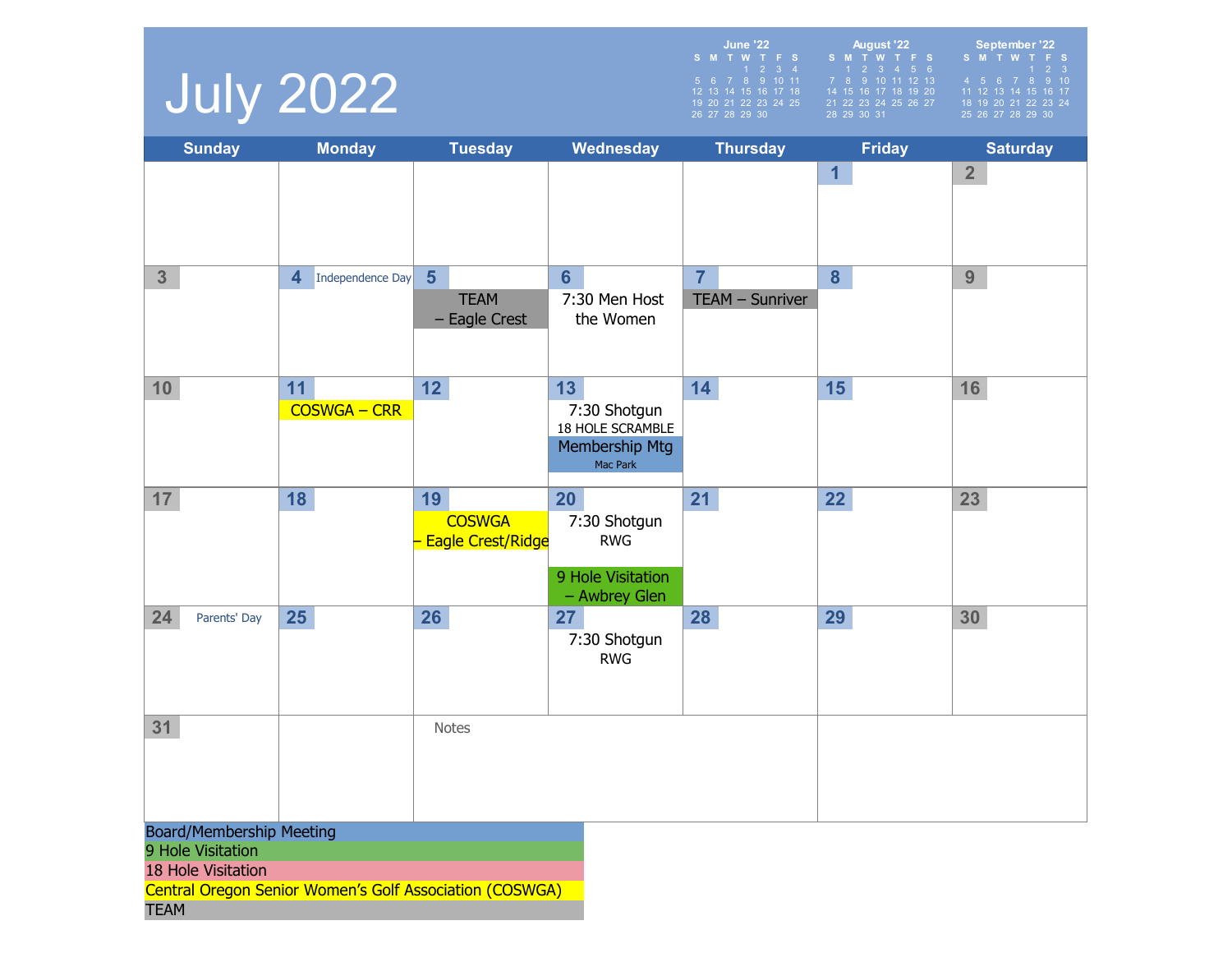

|  | June '22             |                             |                      |                      | August '22 |  |                      |  |  |  |       |             |
|--|----------------------|-----------------------------|----------------------|----------------------|------------|--|----------------------|--|--|--|-------|-------------|
|  | <b>SMTWTFS</b>       |                             |                      |                      |            |  | <b>SMTWTFS</b>       |  |  |  |       | $S$ M       |
|  |                      | $1 \quad 2 \quad 3 \quad 4$ |                      |                      |            |  | 1 2 3 4 5 6          |  |  |  |       |             |
|  | 5 6 7 8 9 10 11      |                             |                      | 7 8 9 10 11 12 13    |            |  |                      |  |  |  |       | $4 \quad 5$ |
|  | 12 13 14 15 16 17 18 |                             |                      | 14 15 16 17 18 19 20 |            |  |                      |  |  |  | 11112 |             |
|  |                      |                             | 19 20 21 22 23 24 25 |                      |            |  | 21 22 23 24 25 26 27 |  |  |  | 18 19 |             |
|  | 26 27 28 29 30       |                             |                      |                      |            |  | 28 29 30 31          |  |  |  |       | 25 26       |
|  |                      |                             |                      |                      |            |  |                      |  |  |  |       |             |

**S M T W T F S**<br>
4 5 6 7 8 9 10<br>
11 12 13 14 15 16 17<br>
18 19 20 21 22 23 24<br>
25 26 27 28 29 30 **September '22**

| <b>Sunday</b>                   | <b>Monday</b>                                                  | <b>Tuesday</b>                            | <b>Wednesday</b>                 | <b>Thursday</b>                   | <b>Friday</b>  | <b>Saturday</b> |  |  |
|---------------------------------|----------------------------------------------------------------|-------------------------------------------|----------------------------------|-----------------------------------|----------------|-----------------|--|--|
|                                 |                                                                |                                           |                                  |                                   | $\overline{1}$ | $\overline{2}$  |  |  |
|                                 |                                                                |                                           |                                  |                                   |                |                 |  |  |
|                                 |                                                                |                                           |                                  |                                   |                |                 |  |  |
| 3 <sup>1</sup>                  | $\overline{\mathbf{4}}$<br>Independence Day                    | $5\phantom{a}$<br><b>TEAM</b>             | $6\phantom{a}$<br>7:30 Men Host  | $\overline{7}$<br>TEAM - Sunriver | 8              | 9               |  |  |
|                                 |                                                                | - Eagle Crest                             | the Women                        |                                   |                |                 |  |  |
|                                 |                                                                |                                           |                                  |                                   |                |                 |  |  |
| 10                              | 11                                                             | 12                                        | 13                               | 14                                | 15             | 16              |  |  |
|                                 | <b>COSWGA - CRR</b>                                            |                                           | 7:30 Shotgun<br>18 HOLE SCRAMBLE |                                   |                |                 |  |  |
|                                 |                                                                |                                           | Membership Mtg<br>Mac Park       |                                   |                |                 |  |  |
| 17                              | 18                                                             | 19                                        | 20                               | 21                                | 22             | 23              |  |  |
|                                 |                                                                | <b>COSWGA</b><br><b>Eagle Crest/Ridge</b> | 7:30 Shotgun<br><b>RWG</b>       |                                   |                |                 |  |  |
|                                 |                                                                |                                           | 9 Hole Visitation                |                                   |                |                 |  |  |
|                                 |                                                                |                                           | - Awbrey Glen                    |                                   |                |                 |  |  |
| 24<br>Parents' Day              | 25                                                             | 26                                        | 27<br>7:30 Shotgun               | 28                                | 29             | 30              |  |  |
|                                 |                                                                |                                           | <b>RWG</b>                       |                                   |                |                 |  |  |
|                                 |                                                                |                                           |                                  |                                   |                |                 |  |  |
| 31                              |                                                                | <b>Notes</b>                              |                                  |                                   |                |                 |  |  |
|                                 |                                                                |                                           |                                  |                                   |                |                 |  |  |
|                                 |                                                                |                                           |                                  |                                   |                |                 |  |  |
| <b>Board/Membership Meeting</b> |                                                                |                                           |                                  |                                   |                |                 |  |  |
| 9 Hole Visitation               |                                                                |                                           |                                  |                                   |                |                 |  |  |
| 18 Hole Visitation              | <b>Central Oregon Senior Women's Golf Association (COSWGA)</b> |                                           |                                  |                                   |                |                 |  |  |
| <b>TEAM</b>                     |                                                                |                                           |                                  |                                   |                |                 |  |  |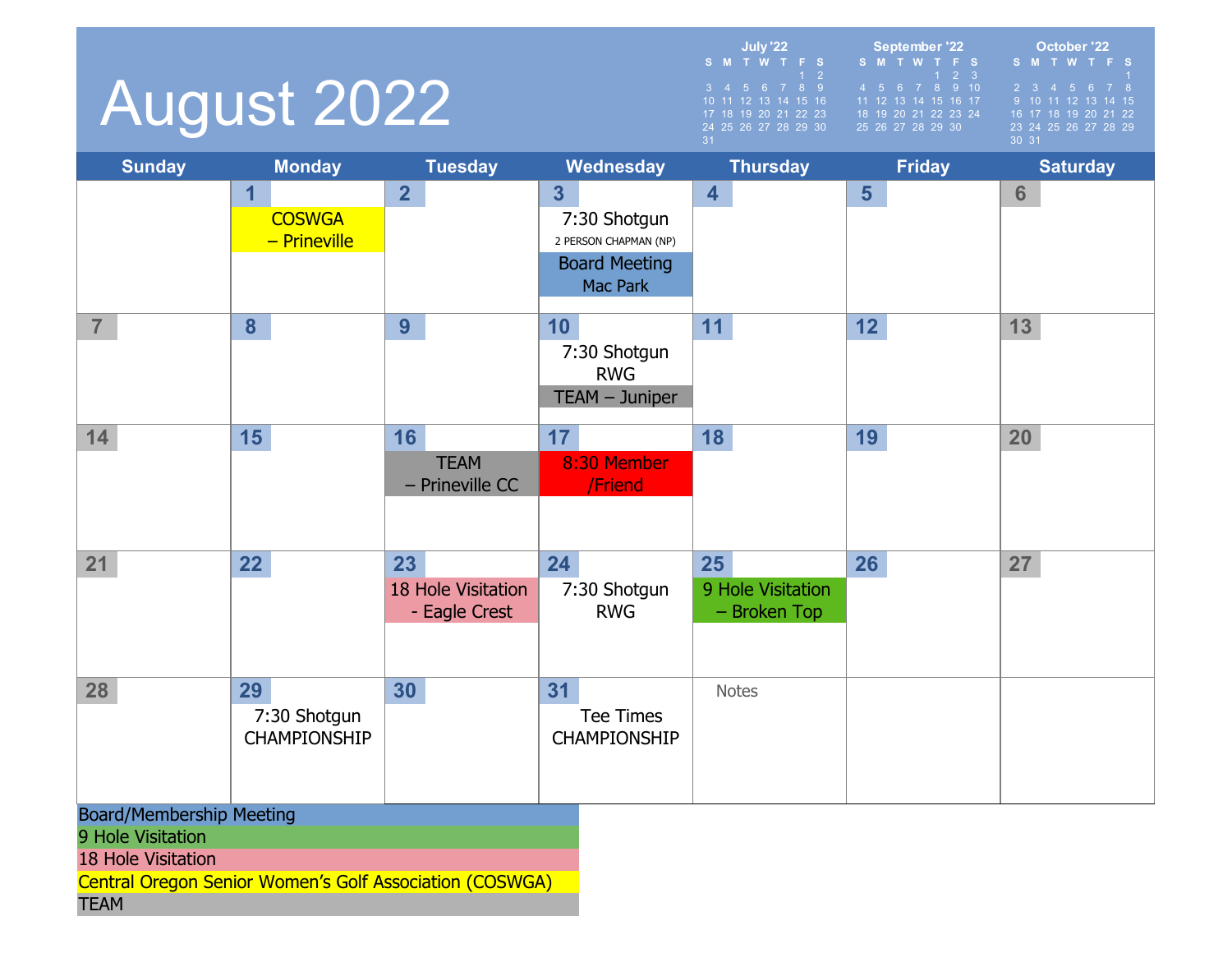## August 2022

**S M T W T F S** 10 11 12 13 14 15 16 17 18 19 20 21 22 23 24 25 26 27 28 29 30 **July '22**

31

18 19 20 21 22 23 24 25 26 27 28 29 30 **September '22**

16 17 18 19 20 21 22 23 24 25 26 27 28 29 30 31 **October '22**

| <b>Sunday</b>                   | <b>Tuesday</b><br><b>Monday</b> |                                                                | Wednesday               | <b>Thursday</b>         | <b>Friday</b>  | <b>Saturday</b> |
|---------------------------------|---------------------------------|----------------------------------------------------------------|-------------------------|-------------------------|----------------|-----------------|
|                                 | 1                               | $\overline{2}$                                                 | $\overline{\mathbf{3}}$ | $\overline{\mathbf{4}}$ | $5\phantom{1}$ | $6\phantom{1}6$ |
|                                 | <b>COSWGA</b>                   |                                                                | 7:30 Shotgun            |                         |                |                 |
|                                 | - Prineville                    |                                                                | 2 PERSON CHAPMAN (NP)   |                         |                |                 |
|                                 |                                 |                                                                | <b>Board Meeting</b>    |                         |                |                 |
|                                 |                                 |                                                                | <b>Mac Park</b>         |                         |                |                 |
| $\overline{7}$                  | $\boldsymbol{8}$                | 9                                                              | 10                      | 11                      | $12$           | 13              |
|                                 |                                 |                                                                | 7:30 Shotgun            |                         |                |                 |
|                                 |                                 |                                                                | <b>RWG</b>              |                         |                |                 |
|                                 |                                 |                                                                | TEAM - Juniper          |                         |                |                 |
| 14                              | 15                              | 16                                                             | 17                      | 18                      | 19             | 20              |
|                                 |                                 | <b>TEAM</b>                                                    | 8:30 Member             |                         |                |                 |
|                                 |                                 | - Prineville CC                                                | /Friend                 |                         |                |                 |
|                                 |                                 |                                                                |                         |                         |                |                 |
|                                 |                                 |                                                                |                         |                         |                |                 |
| 21                              | 22                              | 23                                                             | 24                      | 25                      | 26             | 27              |
|                                 |                                 | 18 Hole Visitation                                             | 7:30 Shotgun            | 9 Hole Visitation       |                |                 |
|                                 |                                 | - Eagle Crest                                                  | <b>RWG</b>              | - Broken Top            |                |                 |
|                                 |                                 |                                                                |                         |                         |                |                 |
|                                 |                                 |                                                                |                         |                         |                |                 |
| 28                              | 29                              | 30                                                             | 31                      | <b>Notes</b>            |                |                 |
|                                 | 7:30 Shotgun                    |                                                                | <b>Tee Times</b>        |                         |                |                 |
|                                 | <b>CHAMPIONSHIP</b>             |                                                                | <b>CHAMPIONSHIP</b>     |                         |                |                 |
|                                 |                                 |                                                                |                         |                         |                |                 |
|                                 |                                 |                                                                |                         |                         |                |                 |
| <b>Board/Membership Meeting</b> |                                 |                                                                |                         |                         |                |                 |
| 9 Hole Visitation               |                                 |                                                                |                         |                         |                |                 |
| <b>18 Hole Visitation</b>       |                                 |                                                                |                         |                         |                |                 |
|                                 |                                 | <b>Central Oregon Senior Women's Golf Association (COSWGA)</b> |                         |                         |                |                 |

**TEAM**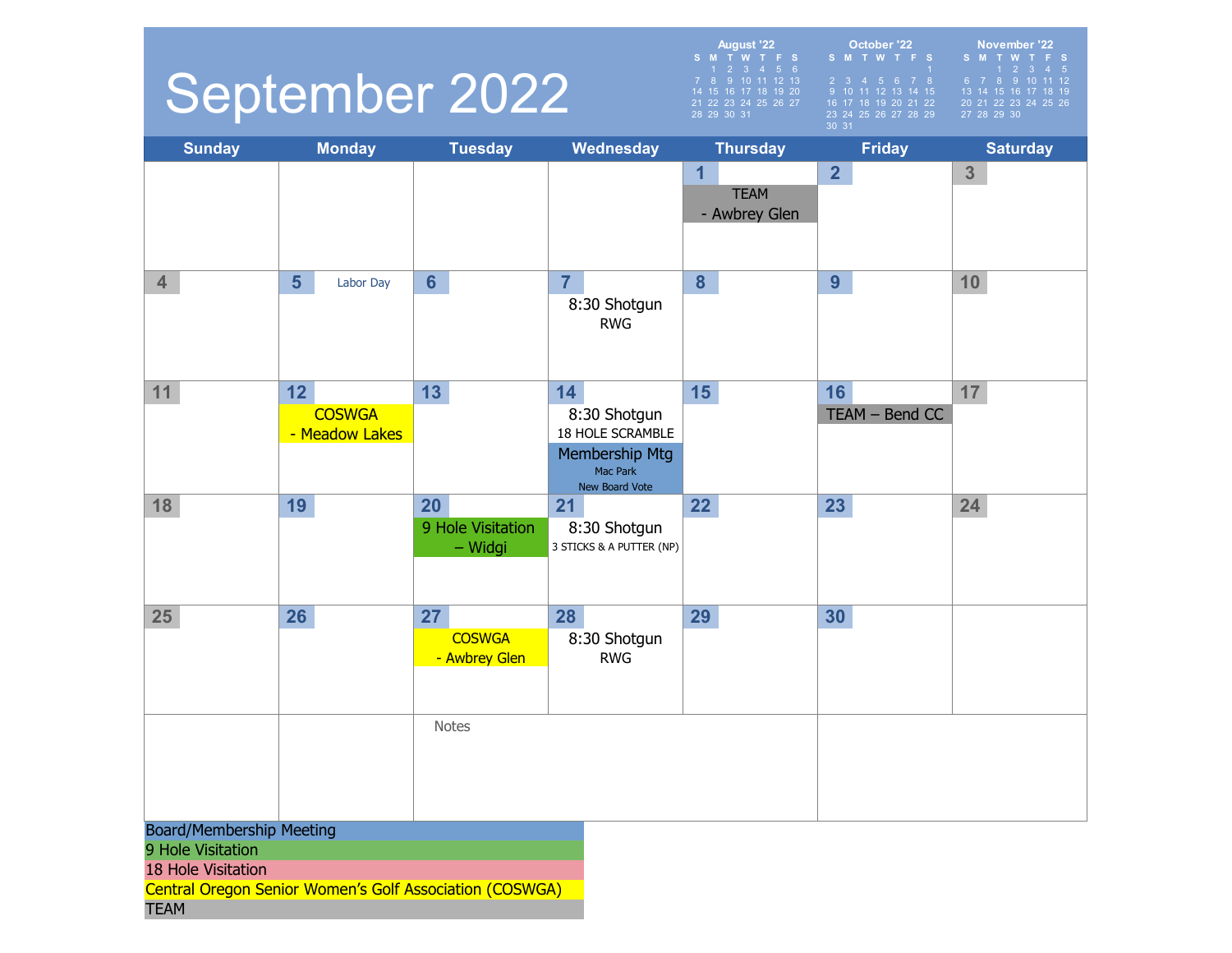#### September 2022

TEAM

**S M T W T F S**<br>
7 8 9 10 11 12 13<br>
14 15 16 17 18 19 20<br>
21 22 23 24 25 26 27<br>
28 29 30 31 **August '22**

**S M T W T F S October '22** 1 2 3 4 5 6 7 8 9 10 11 12 13 14 15 16 17 18 19 20 21 22 23 24 25 26 27 28 29 30 31 **S M T W T F S**<br>
6 7 8 9 10 11 12<br>
13 14 15 16 17 18 19<br>
20 21 22 23 24 25 26<br>
27 28 29 30 **November '22**

| <b>Sunday</b>                   | <b>Monday</b>                   | <b>Tuesday</b>                                                 | Wednesday                                | <b>Thursday</b>              | <b>Friday</b>  | <b>Saturday</b> |  |  |  |
|---------------------------------|---------------------------------|----------------------------------------------------------------|------------------------------------------|------------------------------|----------------|-----------------|--|--|--|
|                                 |                                 |                                                                |                                          | $\overline{1}$               | $\overline{2}$ | $\mathbf{3}$    |  |  |  |
|                                 |                                 |                                                                |                                          | <b>TEAM</b><br>- Awbrey Glen |                |                 |  |  |  |
|                                 |                                 |                                                                |                                          |                              |                |                 |  |  |  |
|                                 |                                 |                                                                |                                          |                              |                |                 |  |  |  |
| $\overline{4}$                  | $5\phantom{a}$<br>Labor Day     | $6\phantom{a}$                                                 | $\overline{7}$                           | $\boldsymbol{8}$             | 9              | 10              |  |  |  |
|                                 |                                 |                                                                | 8:30 Shotgun<br><b>RWG</b>               |                              |                |                 |  |  |  |
|                                 |                                 |                                                                |                                          |                              |                |                 |  |  |  |
|                                 |                                 |                                                                |                                          |                              |                |                 |  |  |  |
| 11                              | 12                              | 13                                                             | 14                                       | 15                           | 16             | 17 <sub>1</sub> |  |  |  |
|                                 | <b>COSWGA</b><br>- Meadow Lakes |                                                                | 8:30 Shotgun<br>18 HOLE SCRAMBLE         |                              | TEAM - Bend CC |                 |  |  |  |
|                                 |                                 |                                                                | Membership Mtg                           |                              |                |                 |  |  |  |
|                                 |                                 |                                                                | Mac Park<br>New Board Vote               |                              |                |                 |  |  |  |
| 18                              | 19                              | 20                                                             | 21                                       | 22                           | 23             | 24              |  |  |  |
|                                 |                                 | 9 Hole Visitation<br>- Widgi                                   | 8:30 Shotgun<br>3 STICKS & A PUTTER (NP) |                              |                |                 |  |  |  |
|                                 |                                 |                                                                |                                          |                              |                |                 |  |  |  |
|                                 |                                 |                                                                |                                          |                              |                |                 |  |  |  |
| 25                              | 26                              | 27                                                             | 28                                       | 29                           | 30             |                 |  |  |  |
|                                 |                                 | <b>COSWGA</b><br>- Awbrey Glen                                 | 8:30 Shotgun<br><b>RWG</b>               |                              |                |                 |  |  |  |
|                                 |                                 |                                                                |                                          |                              |                |                 |  |  |  |
|                                 |                                 |                                                                |                                          |                              |                |                 |  |  |  |
|                                 |                                 | <b>Notes</b>                                                   |                                          |                              |                |                 |  |  |  |
|                                 |                                 |                                                                |                                          |                              |                |                 |  |  |  |
|                                 |                                 |                                                                |                                          |                              |                |                 |  |  |  |
| <b>Board/Membership Meeting</b> |                                 |                                                                |                                          |                              |                |                 |  |  |  |
| 9 Hole Visitation               |                                 |                                                                |                                          |                              |                |                 |  |  |  |
| 18 Hole Visitation              |                                 |                                                                |                                          |                              |                |                 |  |  |  |
|                                 |                                 | <b>Central Oregon Senior Women's Golf Association (COSWGA)</b> |                                          |                              |                |                 |  |  |  |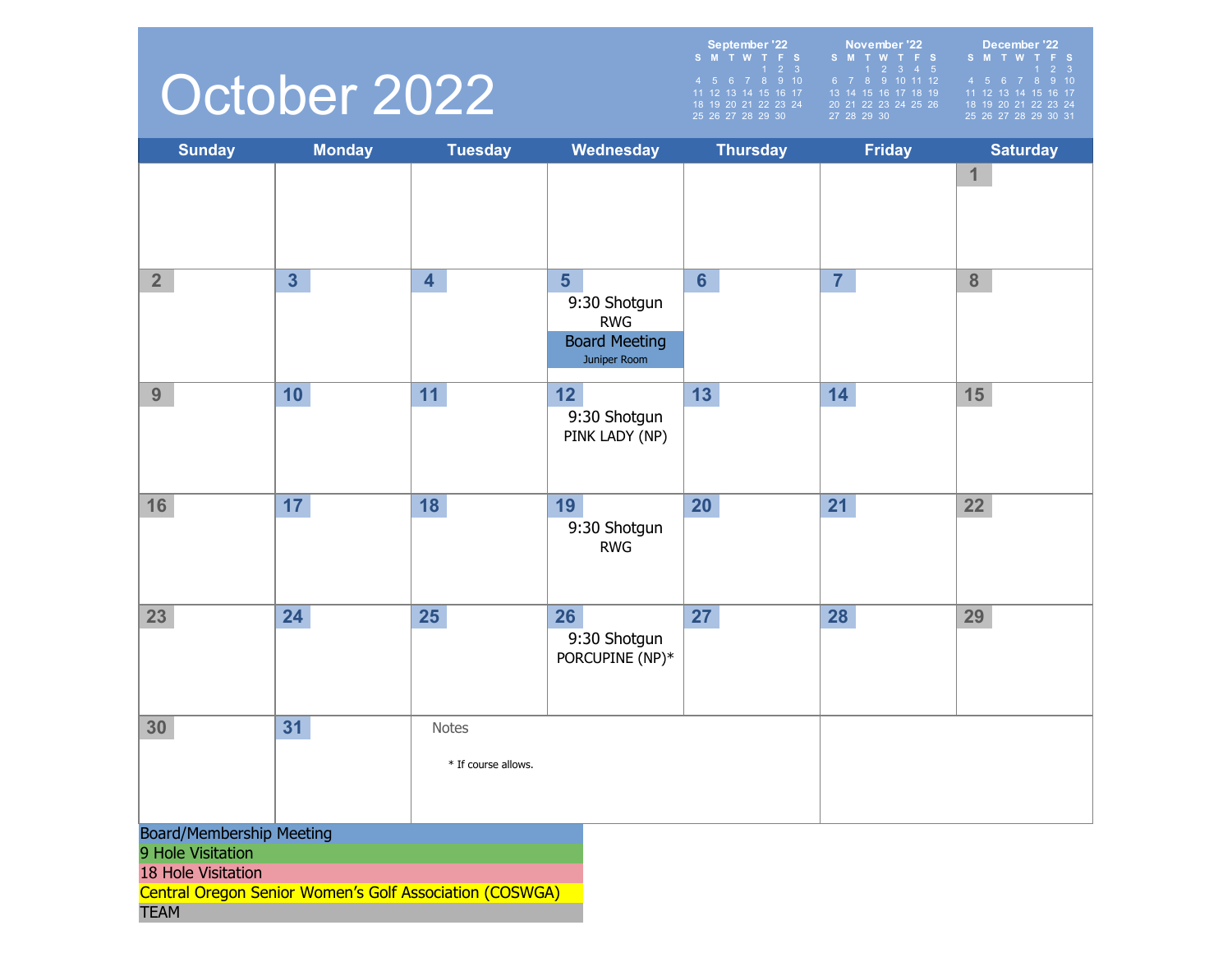#### October 2022

| September '22<br>S M T W T F S |  |  |                      |  |  |       | November '22         |  |  | December '22         |  |  |  |             |  |  |
|--------------------------------|--|--|----------------------|--|--|-------|----------------------|--|--|----------------------|--|--|--|-------------|--|--|
|                                |  |  |                      |  |  |       | S M T W T F S        |  |  | <b>SMTWTFS</b>       |  |  |  |             |  |  |
|                                |  |  | 123                  |  |  | 12345 |                      |  |  |                      |  |  |  | $1 \t2 \t3$ |  |  |
|                                |  |  | 4 5 6 7 8 9 10       |  |  |       | 6 7 8 9 10 11 12     |  |  | 4 5 6 7 8 9 10       |  |  |  |             |  |  |
|                                |  |  | 11 12 13 14 15 16 17 |  |  |       | 13 14 15 16 17 18 19 |  |  | 11 12 13 14 15 16 17 |  |  |  |             |  |  |
|                                |  |  | 18 19 20 21 22 23 24 |  |  |       | 20 21 22 23 24 25 26 |  |  | 18 19 20 21 22 23 24 |  |  |  |             |  |  |
|                                |  |  | 25 26 27 28 29 30    |  |  |       | 27 28 29 30          |  |  | 25 26 27 28 29 30 31 |  |  |  |             |  |  |
|                                |  |  |                      |  |  |       |                      |  |  |                      |  |  |  |             |  |  |

| <b>Sunday</b>                                           | <b>Monday</b>           | <b>Tuesday</b>          | <b>Wednesday</b>                     | <b>Thursday</b> | <b>Friday</b>  | <b>Saturday</b> |
|---------------------------------------------------------|-------------------------|-------------------------|--------------------------------------|-----------------|----------------|-----------------|
|                                                         |                         |                         |                                      |                 |                | $\mathbf{1}$    |
|                                                         |                         |                         |                                      |                 |                |                 |
|                                                         |                         |                         |                                      |                 |                |                 |
|                                                         |                         |                         |                                      |                 |                |                 |
| 2 <sub>2</sub>                                          | $\overline{\mathbf{3}}$ | $\overline{\mathbf{4}}$ | $5\overline{)}$<br>9:30 Shotgun      | $6\phantom{a}$  | $\overline{7}$ | 8               |
|                                                         |                         |                         | <b>RWG</b>                           |                 |                |                 |
|                                                         |                         |                         | <b>Board Meeting</b><br>Juniper Room |                 |                |                 |
|                                                         |                         |                         |                                      |                 |                |                 |
| 9 <sup>°</sup>                                          | 10                      | 11                      | 12                                   | 13              | 14             | 15              |
|                                                         |                         |                         | 9:30 Shotgun<br>PINK LADY (NP)       |                 |                |                 |
|                                                         |                         |                         |                                      |                 |                |                 |
|                                                         |                         |                         |                                      |                 |                |                 |
| 16                                                      | 17                      | 18                      | 19                                   | 20              | 21             | 22              |
|                                                         |                         |                         | 9:30 Shotgun<br><b>RWG</b>           |                 |                |                 |
|                                                         |                         |                         |                                      |                 |                |                 |
|                                                         |                         |                         |                                      |                 |                |                 |
| 23                                                      | 24                      | 25                      | 26                                   | 27              | 28             | 29              |
|                                                         |                         |                         | 9:30 Shotgun<br>PORCUPINE (NP)*      |                 |                |                 |
|                                                         |                         |                         |                                      |                 |                |                 |
|                                                         |                         |                         |                                      |                 |                |                 |
| 30                                                      | 31                      | <b>Notes</b>            |                                      |                 |                |                 |
|                                                         |                         | * If course allows.     |                                      |                 |                |                 |
|                                                         |                         |                         |                                      |                 |                |                 |
|                                                         |                         |                         |                                      |                 |                |                 |
| <b>Board/Membership Meeting</b><br>9 Hole Visitation    |                         |                         |                                      |                 |                |                 |
| 18 Hole Visitation                                      |                         |                         |                                      |                 |                |                 |
| Central Oregon Senior Women's Golf Association (COSWGA) |                         |                         |                                      |                 |                |                 |
| <b>TEAM</b>                                             |                         |                         |                                      |                 |                |                 |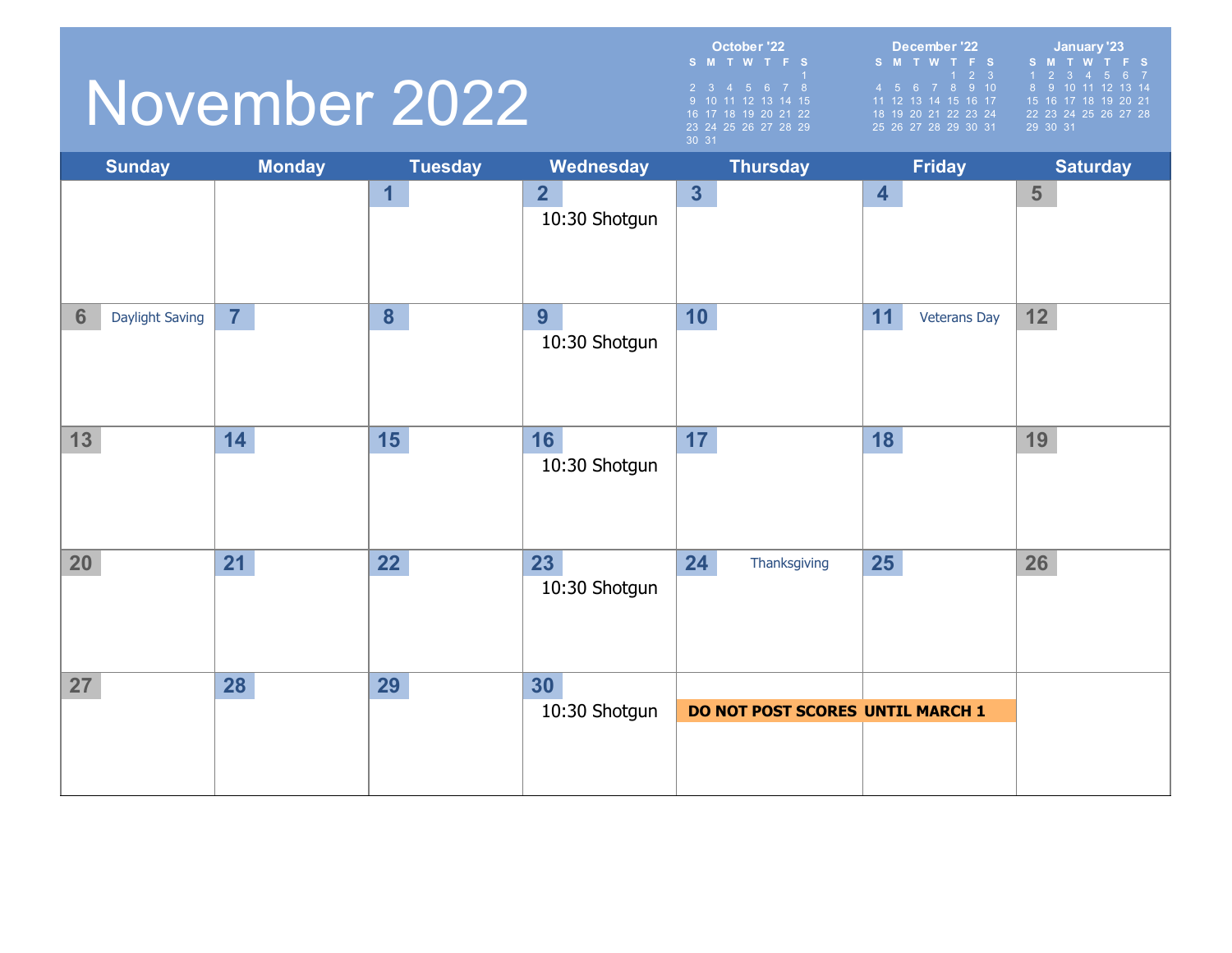#### November 2022

16 17 18 19 20 21 22 23 24 25 26 27 28 29 30 31 **October '22**

18 19 20 21 22 23 24 25 26 27 28 29 30 31 **December '22**

8 9 10 11 12 13 14 15 16 17 18 19 20 21 22 23 24 25 26 27 28 29 30 31 **January '23**

| <b>Sunday</b>        | <b>Monday</b>  | <b>Tuesday</b>   | Wednesday                       | <b>Thursday</b>                  | <b>Friday</b>             | <b>Saturday</b> |
|----------------------|----------------|------------------|---------------------------------|----------------------------------|---------------------------|-----------------|
|                      |                | $\overline{1}$   | $\overline{2}$<br>10:30 Shotgun | $3\phantom{a}$                   | $\overline{\mathbf{4}}$   | $5\phantom{1}$  |
| 6<br>Daylight Saving | 7 <sup>1</sup> | $\boldsymbol{8}$ | 9<br>10:30 Shotgun              | 10                               | 11<br><b>Veterans Day</b> | 12              |
| 13                   | 14             | 15               | 16<br>10:30 Shotgun             | 17                               | 18                        | 19              |
| 20 <sub>2</sub>      | 21             | 22               | 23<br>10:30 Shotgun             | 24<br>Thanksgiving               | 25                        | 26              |
| 27                   | 28             | 29               | 30<br>10:30 Shotgun             | DO NOT POST SCORES UNTIL MARCH 1 |                           |                 |